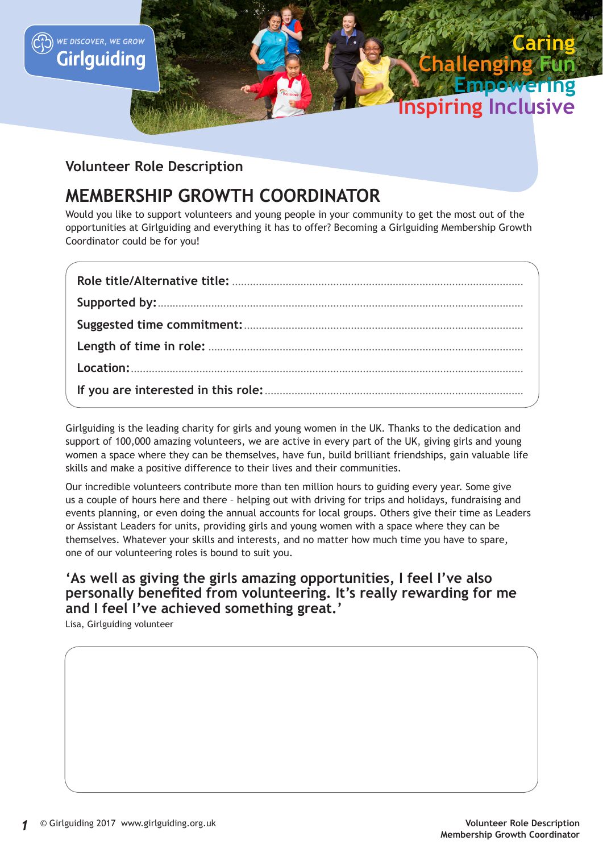

## **Volunteer Role Description**

WE DISCOVER, WE GROW Girlguiding

# **MEMBERSHIP GROWTH COORDINATOR**

Would you like to support volunteers and young people in your community to get the most out of the opportunities at Girlguiding and everything it has to offer? Becoming a Girlguiding Membership Growth Coordinator could be for you!

Girlguiding is the leading charity for girls and young women in the UK. Thanks to the dedication and support of 100,000 amazing volunteers, we are active in every part of the UK, giving girls and young women a space where they can be themselves, have fun, build brilliant friendships, gain valuable life skills and make a positive difference to their lives and their communities.

Our incredible volunteers contribute more than ten million hours to guiding every year. Some give us a couple of hours here and there – helping out with driving for trips and holidays, fundraising and events planning, or even doing the annual accounts for local groups. Others give their time as Leaders or Assistant Leaders for units, providing girls and young women with a space where they can be themselves. Whatever your skills and interests, and no matter how much time you have to spare, one of our volunteering roles is bound to suit you.

### **'As well as giving the girls amazing opportunities, I feel I've also personally benefited from volunteering. It's really rewarding for me and I feel I've achieved something great.'**

Lisa, Girlguiding volunteer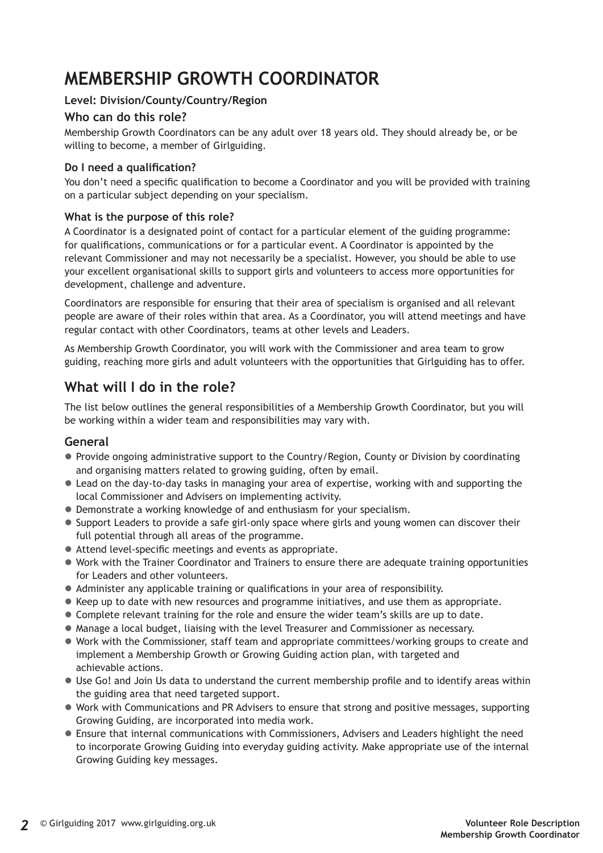# **MEMBERSHIP GROWTH COORDINATOR**

#### **Level: Division/County/Country/Region**

#### **Who can do this role?**

Membership Growth Coordinators can be any adult over 18 years old. They should already be, or be willing to become, a member of Girlguiding.

#### **Do I need a qualification?**

You don't need a specific qualification to become a Coordinator and you will be provided with training on a particular subject depending on your specialism.

#### **What is the purpose of this role?**

A Coordinator is a designated point of contact for a particular element of the guiding programme: for qualifications, communications or for a particular event. A Coordinator is appointed by the relevant Commissioner and may not necessarily be a specialist. However, you should be able to use your excellent organisational skills to support girls and volunteers to access more opportunities for development, challenge and adventure.

Coordinators are responsible for ensuring that their area of specialism is organised and all relevant people are aware of their roles within that area. As a Coordinator, you will attend meetings and have regular contact with other Coordinators, teams at other levels and Leaders.

As Membership Growth Coordinator, you will work with the Commissioner and area team to grow guiding, reaching more girls and adult volunteers with the opportunities that Girlguiding has to offer.

# **What will I do in the role?**

The list below outlines the general responsibilities of a Membership Growth Coordinator, but you will be working within a wider team and responsibilities may vary with.

#### **General**

- Provide ongoing administrative support to the Country/Region, County or Division by coordinating and organising matters related to growing guiding, often by email.
- Lead on the day-to-day tasks in managing your area of expertise, working with and supporting the local Commissioner and Advisers on implementing activity.
- Demonstrate a working knowledge of and enthusiasm for your specialism.
- Support Leaders to provide a safe girl-only space where girls and young women can discover their full potential through all areas of the programme.
- Attend level-specific meetings and events as appropriate.
- Work with the Trainer Coordinator and Trainers to ensure there are adequate training opportunities for Leaders and other volunteers.
- Administer any applicable training or qualifications in your area of responsibility.
- Keep up to date with new resources and programme initiatives, and use them as appropriate.
- Complete relevant training for the role and ensure the wider team's skills are up to date.
- Manage a local budget, liaising with the level Treasurer and Commissioner as necessary.
- Work with the Commissioner, staff team and appropriate committees/working groups to create and implement a Membership Growth or Growing Guiding action plan, with targeted and achievable actions.
- Use Go! and Join Us data to understand the current membership profile and to identify areas within the guiding area that need targeted support.
- Work with Communications and PR Advisers to ensure that strong and positive messages, supporting Growing Guiding, are incorporated into media work.
- $\bullet$  Ensure that internal communications with Commissioners, Advisers and Leaders highlight the need to incorporate Growing Guiding into everyday guiding activity. Make appropriate use of the internal Growing Guiding key messages.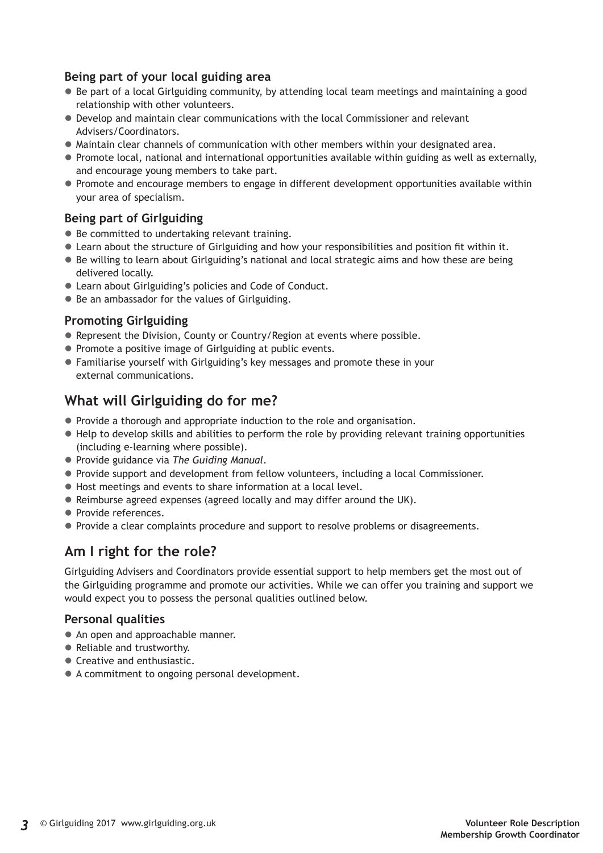#### **Being part of your local guiding area**

- $\bullet$  Be part of a local Girlguiding community, by attending local team meetings and maintaining a good relationship with other volunteers.
- $\bullet$  Develop and maintain clear communications with the local Commissioner and relevant Advisers/Coordinators.
- Maintain clear channels of communication with other members within your designated area.
- $\bullet$  Promote local, national and international opportunities available within guiding as well as externally, and encourage young members to take part.
- Promote and encourage members to engage in different development opportunities available within your area of specialism.

#### **Being part of Girlguiding**

- $\bullet$  Be committed to undertaking relevant training.
- Learn about the structure of Girlguiding and how your responsibilities and position fit within it.
- Be willing to learn about Girlguiding's national and local strategic aims and how these are being delivered locally.
- Learn about Girlguiding's policies and Code of Conduct.
- Be an ambassador for the values of Girlguiding.

#### **Promoting Girlguiding**

- Represent the Division, County or Country/Region at events where possible.
- Promote a positive image of Girlguiding at public events.
- Familiarise yourself with Girlguiding's key messages and promote these in your external communications.

## **What will Girlguiding do for me?**

- Provide a thorough and appropriate induction to the role and organisation.
- $\bullet$  Help to develop skills and abilities to perform the role by providing relevant training opportunities (including e-learning where possible).
- z Provide guidance via *The Guiding Manual*.
- Provide support and development from fellow volunteers, including a local Commissioner.
- $\bullet$  Host meetings and events to share information at a local level.
- Reimburse agreed expenses (agreed locally and may differ around the UK).
- Provide references.
- Provide a clear complaints procedure and support to resolve problems or disagreements.

### **Am I right for the role?**

Girlguiding Advisers and Coordinators provide essential support to help members get the most out of the Girlguiding programme and promote our activities. While we can offer you training and support we would expect you to possess the personal qualities outlined below.

#### **Personal qualities**

- An open and approachable manner.
- Reliable and trustworthy.
- Creative and enthusiastic.
- A commitment to ongoing personal development.